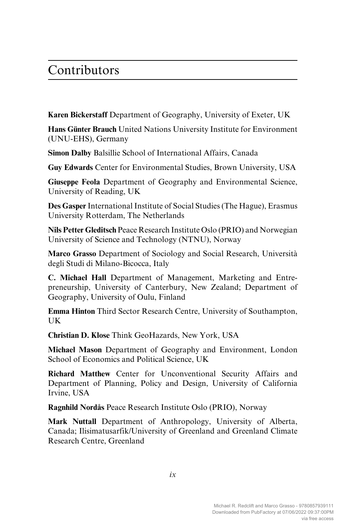## Contributors

**Karen Bickerstaff** Department of Geography, University of Exeter, UK

**Hans Günter Brauch** United Nations University Institute for Environment (UNU-EHS), Germany

**Simon Dalby** Balsillie School of International Affairs, Canada

**Guy Edwards** Center for Environmental Studies, Brown University, USA

**Giuseppe Feola** Department of Geography and Environmental Science, University of Reading, UK

**Des Gasper** International Institute of Social Studies (The Hague), Erasmus University Rotterdam, The Netherlands

**Nils Petter Gleditsch** Peace Research Institute Oslo (PRIO) and Norwegian University of Science and Technology (NTNU), Norway

**Marco Grasso** Department of Sociology and Social Research, Università degli Studi di Milano-Bicocca, Italy

**C. Michael Hall** Department of Management, Marketing and Entrepreneurship, University of Canterbury, New Zealand; Department of Geography, University of Oulu, Finland

**Emma Hinton** Third Sector Research Centre, University of Southampton, UK

**Christian D. Klose** Think GeoHazards, New York, USA

**Michael Mason** Department of Geography and Environment, London School of Economics and Political Science, UK

**Richard Matthew** Center for Unconventional Security Affairs and Department of Planning, Policy and Design, University of California Irvine, USA

**Ragnhild Nordås** Peace Research Institute Oslo (PRIO), Norway

**Mark Nuttall** Department of Anthropology, University of Alberta, Canada; Ilisimatusarfik/University of Greenland and Greenland Climate Research Centre, Greenland